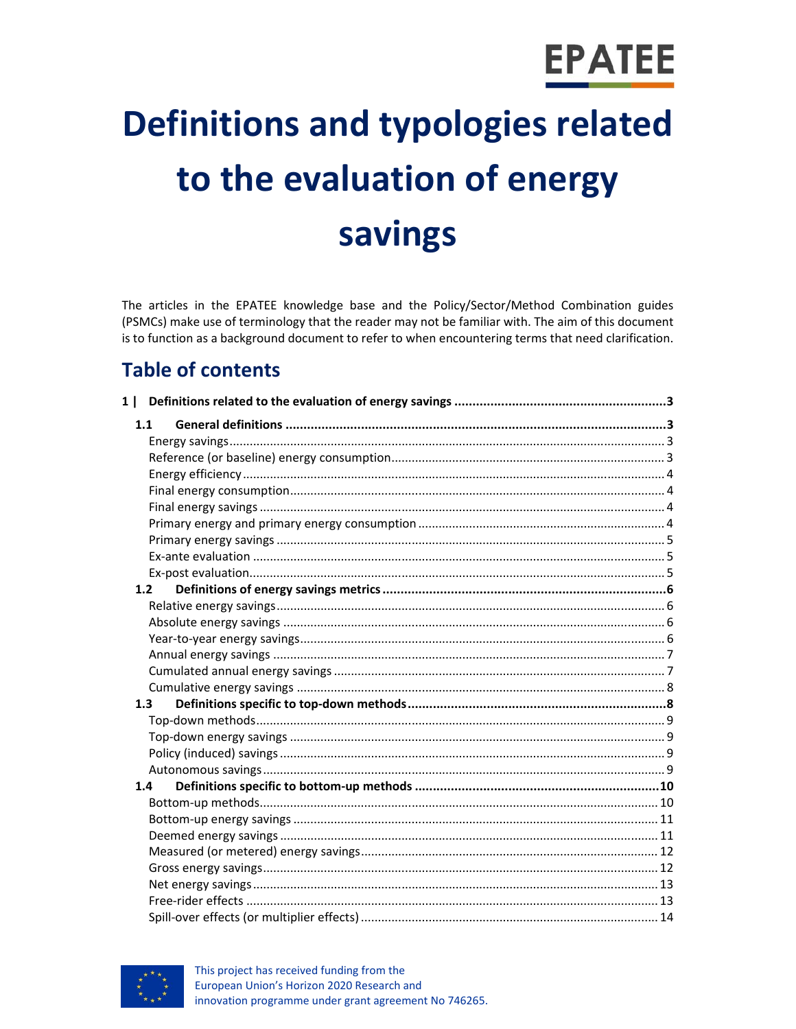# **EPATEE**

# **Definitions and typologies related** to the evaluation of energy savings

The articles in the EPATEE knowledge base and the Policy/Sector/Method Combination guides (PSMCs) make use of terminology that the reader may not be familiar with. The aim of this document is to function as a background document to refer to when encountering terms that need clarification.

## **Table of contents**

|  | 1.1 |  |
|--|-----|--|
|  |     |  |
|  |     |  |
|  |     |  |
|  |     |  |
|  |     |  |
|  |     |  |
|  |     |  |
|  |     |  |
|  |     |  |
|  | 1.2 |  |
|  |     |  |
|  |     |  |
|  |     |  |
|  |     |  |
|  |     |  |
|  |     |  |
|  | 1.3 |  |
|  |     |  |
|  |     |  |
|  |     |  |
|  |     |  |
|  | 1.4 |  |
|  |     |  |
|  |     |  |
|  |     |  |
|  |     |  |
|  |     |  |
|  |     |  |
|  |     |  |
|  |     |  |

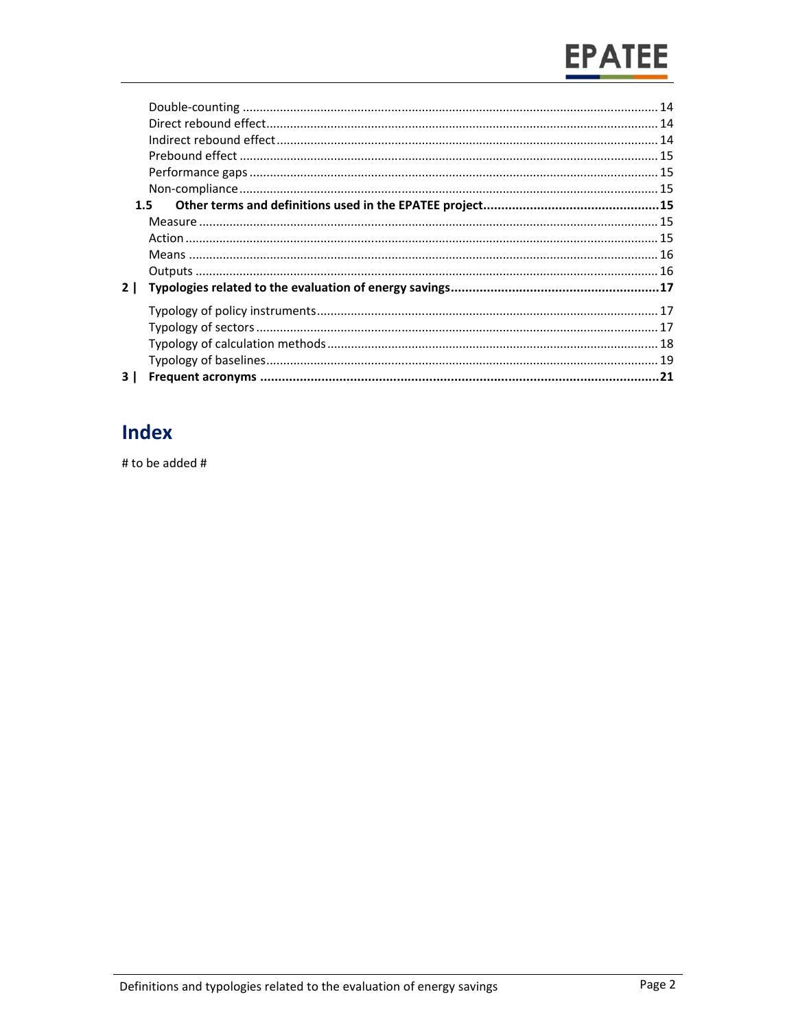# **EPATEE**

| 2   |  |
|-----|--|
|     |  |
|     |  |
|     |  |
|     |  |
| 3 I |  |
|     |  |

## **Index**

# to be added #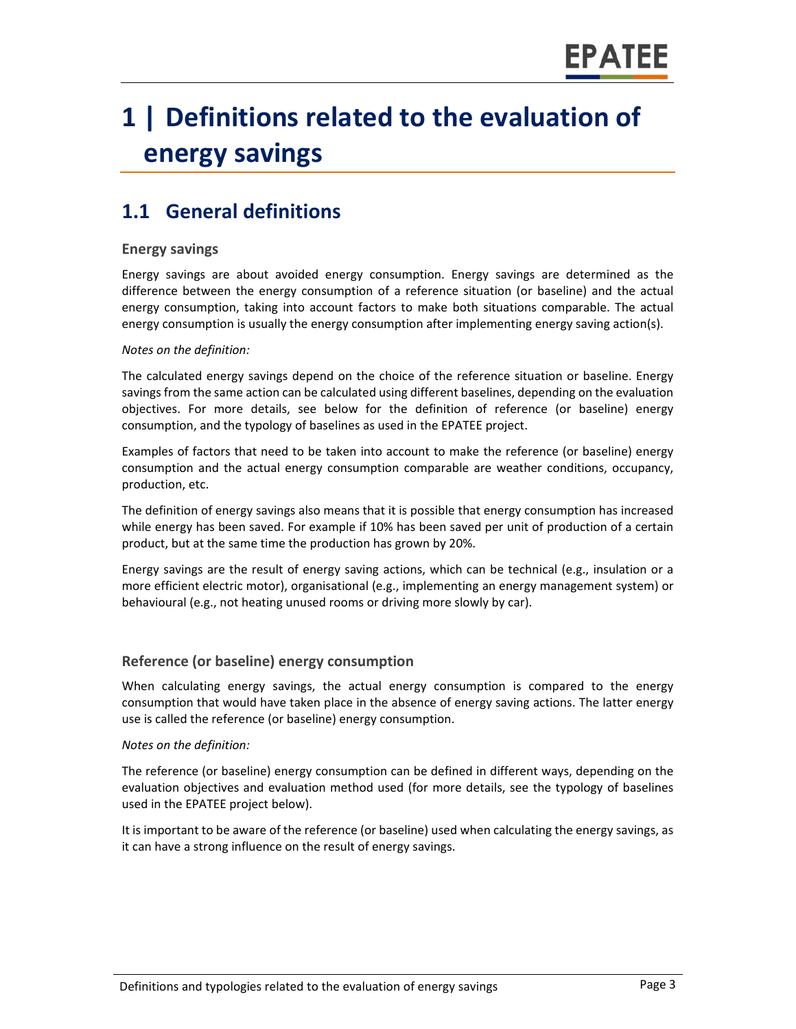## **1 | Definitions related to the evaluation of energy savings**

## **1.1 General definitions**

#### **Energy savings**

Energy savings are about avoided energy consumption. Energy savings are determined as the difference between the energy consumption of a reference situation (or baseline) and the actual energy consumption, taking into account factors to make both situations comparable. The actual energy consumption is usually the energy consumption after implementing energy saving action(s).

#### *Notes on the definition:*

The calculated energy savings depend on the choice of the reference situation or baseline. Energy savings from the same action can be calculated using different baselines, depending on the evaluation objectives. For more details, see below for the definition of reference (or baseline) energy consumption, and the typology of baselines as used in the EPATEE project.

Examples of factors that need to be taken into account to make the reference (or baseline) energy consumption and the actual energy consumption comparable are weather conditions, occupancy, production, etc.

The definition of energy savings also means that it is possible that energy consumption has increased while energy has been saved. For example if 10% has been saved per unit of production of a certain product, but at the same time the production has grown by 20%.

Energy savings are the result of energy saving actions, which can be technical (e.g., insulation or a more efficient electric motor), organisational (e.g., implementing an energy management system) or behavioural (e.g., not heating unused rooms or driving more slowly by car).

#### **Reference (or baseline) energy consumption**

When calculating energy savings, the actual energy consumption is compared to the energy consumption that would have taken place in the absence of energy saving actions. The latter energy use is called the reference (or baseline) energy consumption.

#### *Notes on the definition:*

The reference (or baseline) energy consumption can be defined in different ways, depending on the evaluation objectives and evaluation method used (for more details, see the typology of baselines used in the EPATEE project below).

It is important to be aware of the reference (or baseline) used when calculating the energy savings, as it can have a strong influence on the result of energy savings.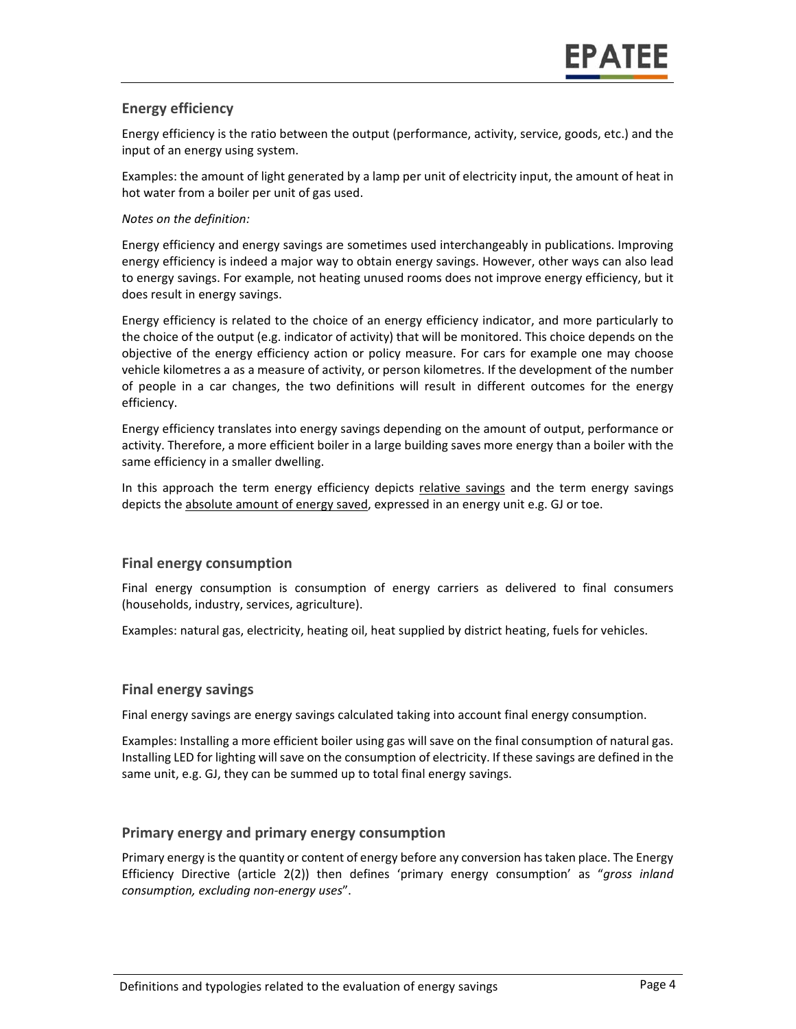#### **Energy efficiency**

Energy efficiency is the ratio between the output (performance, activity, service, goods, etc.) and the input of an energy using system.

Examples: the amount of light generated by a lamp per unit of electricity input, the amount of heat in hot water from a boiler per unit of gas used.

#### *Notes on the definition:*

Energy efficiency and energy savings are sometimes used interchangeably in publications. Improving energy efficiency is indeed a major way to obtain energy savings. However, other ways can also lead to energy savings. For example, not heating unused rooms does not improve energy efficiency, but it does result in energy savings.

Energy efficiency is related to the choice of an energy efficiency indicator, and more particularly to the choice of the output (e.g. indicator of activity) that will be monitored. This choice depends on the objective of the energy efficiency action or policy measure. For cars for example one may choose vehicle kilometres a as a measure of activity, or person kilometres. If the development of the number of people in a car changes, the two definitions will result in different outcomes for the energy efficiency.

Energy efficiency translates into energy savings depending on the amount of output, performance or activity. Therefore, a more efficient boiler in a large building saves more energy than a boiler with the same efficiency in a smaller dwelling.

In this approach the term energy efficiency depicts relative savings and the term energy savings depicts the absolute amount of energy saved, expressed in an energy unit e.g. GJ or toe.

#### **Final energy consumption**

Final energy consumption is consumption of energy carriers as delivered to final consumers (households, industry, services, agriculture).

Examples: natural gas, electricity, heating oil, heat supplied by district heating, fuels for vehicles.

#### **Final energy savings**

Final energy savings are energy savings calculated taking into account final energy consumption.

Examples: Installing a more efficient boiler using gas will save on the final consumption of natural gas. Installing LED for lighting will save on the consumption of electricity. If these savings are defined in the same unit, e.g. GJ, they can be summed up to total final energy savings.

#### **Primary energy and primary energy consumption**

Primary energy is the quantity or content of energy before any conversion has taken place. The Energy Efficiency Directive (article 2(2)) then defines 'primary energy consumption' as "*gross inland consumption, excluding non‐energy uses*".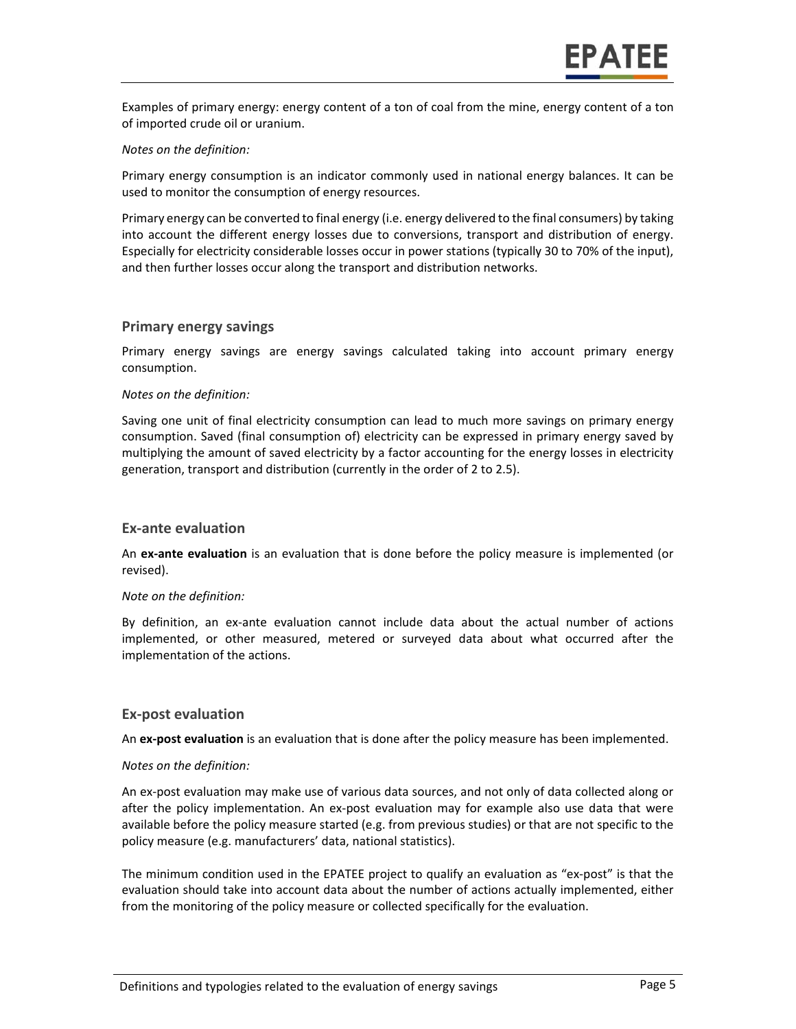Examples of primary energy: energy content of a ton of coal from the mine, energy content of a ton of imported crude oil or uranium.

#### *Notes on the definition:*

Primary energy consumption is an indicator commonly used in national energy balances. It can be used to monitor the consumption of energy resources.

Primary energy can be converted to final energy (i.e. energy delivered to the final consumers) by taking into account the different energy losses due to conversions, transport and distribution of energy. Especially for electricity considerable losses occur in power stations (typically 30 to 70% of the input), and then further losses occur along the transport and distribution networks.

#### **Primary energy savings**

Primary energy savings are energy savings calculated taking into account primary energy consumption.

#### *Notes on the definition:*

Saving one unit of final electricity consumption can lead to much more savings on primary energy consumption. Saved (final consumption of) electricity can be expressed in primary energy saved by multiplying the amount of saved electricity by a factor accounting for the energy losses in electricity generation, transport and distribution (currently in the order of 2 to 2.5).

#### **Ex‐ante evaluation**

An **ex‐ante evaluation** is an evaluation that is done before the policy measure is implemented (or revised).

#### *Note on the definition:*

By definition, an ex-ante evaluation cannot include data about the actual number of actions implemented, or other measured, metered or surveyed data about what occurred after the implementation of the actions.

#### **Ex‐post evaluation**

An **ex‐post evaluation** is an evaluation that is done after the policy measure has been implemented.

#### *Notes on the definition:*

An ex‐post evaluation may make use of various data sources, and not only of data collected along or after the policy implementation. An ex-post evaluation may for example also use data that were available before the policy measure started (e.g. from previous studies) or that are not specific to the policy measure (e.g. manufacturers' data, national statistics).

The minimum condition used in the EPATEE project to qualify an evaluation as "ex‐post" is that the evaluation should take into account data about the number of actions actually implemented, either from the monitoring of the policy measure or collected specifically for the evaluation.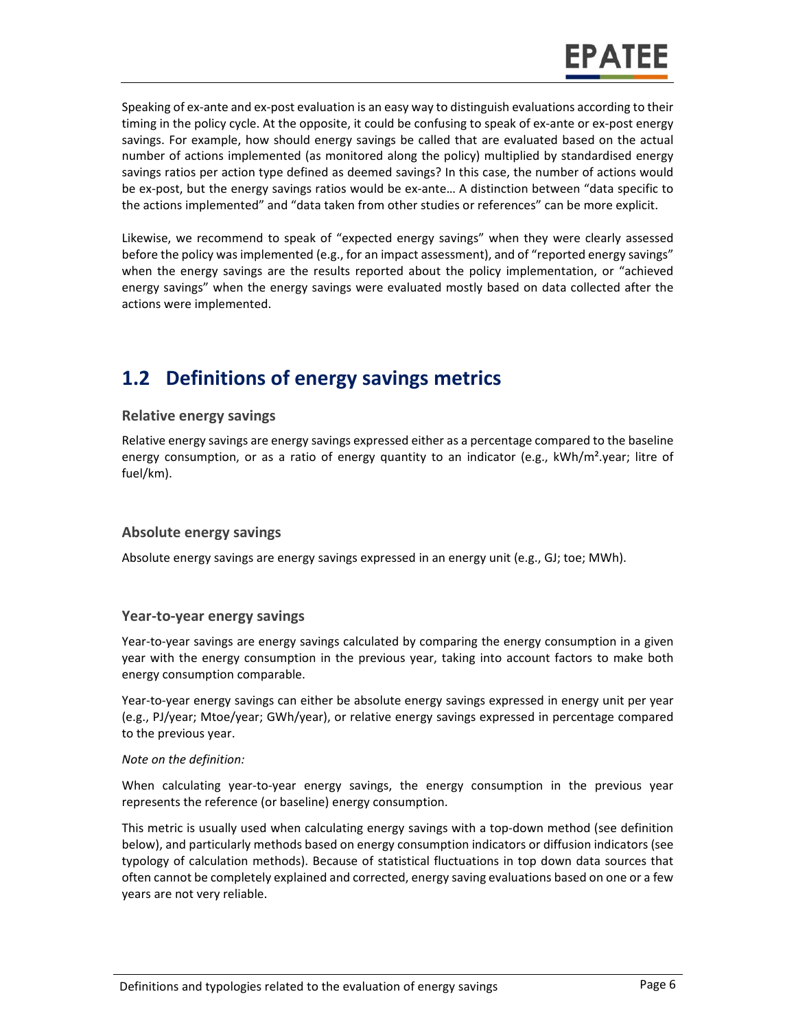Speaking of ex‐ante and ex‐post evaluation is an easy way to distinguish evaluations according to their timing in the policy cycle. At the opposite, it could be confusing to speak of ex‐ante or ex‐post energy savings. For example, how should energy savings be called that are evaluated based on the actual number of actions implemented (as monitored along the policy) multiplied by standardised energy savings ratios per action type defined as deemed savings? In this case, the number of actions would be ex-post, but the energy savings ratios would be ex-ante... A distinction between "data specific to the actions implemented" and "data taken from other studies or references" can be more explicit.

Likewise, we recommend to speak of "expected energy savings" when they were clearly assessed before the policy was implemented (e.g., for an impact assessment), and of "reported energy savings" when the energy savings are the results reported about the policy implementation, or "achieved energy savings" when the energy savings were evaluated mostly based on data collected after the actions were implemented.

### **1.2 Definitions of energy savings metrics**

#### **Relative energy savings**

Relative energy savings are energy savings expressed either as a percentage compared to the baseline energy consumption, or as a ratio of energy quantity to an indicator (e.g.,  $kWh/m^2$ .year; litre of fuel/km).

#### **Absolute energy savings**

Absolute energy savings are energy savings expressed in an energy unit (e.g., GJ; toe; MWh).

#### **Year‐to‐year energy savings**

Year-to-year savings are energy savings calculated by comparing the energy consumption in a given year with the energy consumption in the previous year, taking into account factors to make both energy consumption comparable.

Year-to-year energy savings can either be absolute energy savings expressed in energy unit per year (e.g., PJ/year; Mtoe/year; GWh/year), or relative energy savings expressed in percentage compared to the previous year.

#### *Note on the definition:*

When calculating year-to-year energy savings, the energy consumption in the previous year represents the reference (or baseline) energy consumption.

This metric is usually used when calculating energy savings with a top‐down method (see definition below), and particularly methods based on energy consumption indicators or diffusion indicators (see typology of calculation methods). Because of statistical fluctuations in top down data sources that often cannot be completely explained and corrected, energy saving evaluations based on one or a few years are not very reliable.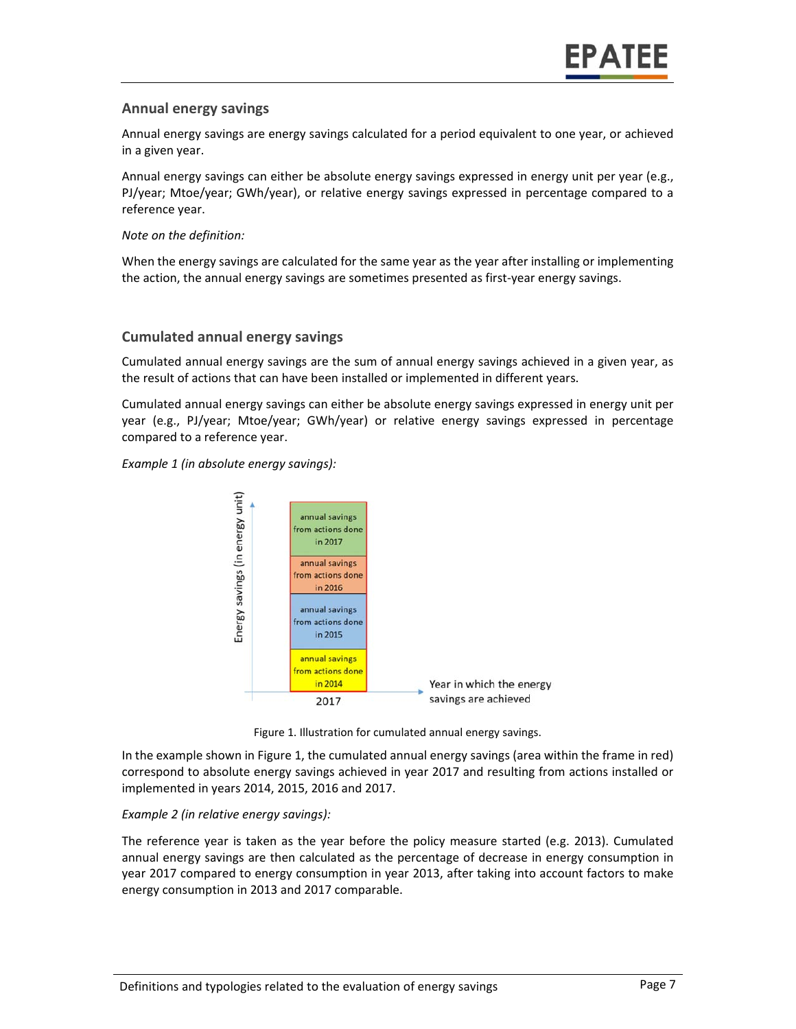#### **Annual energy savings**

Annual energy savings are energy savings calculated for a period equivalent to one year, or achieved in a given year.

Annual energy savings can either be absolute energy savings expressed in energy unit per year (e.g., PJ/year; Mtoe/year; GWh/year), or relative energy savings expressed in percentage compared to a reference year.

*Note on the definition:* 

When the energy savings are calculated for the same year as the year after installing or implementing the action, the annual energy savings are sometimes presented as first-year energy savings.

#### **Cumulated annual energy savings**

Cumulated annual energy savings are the sum of annual energy savings achieved in a given year, as the result of actions that can have been installed or implemented in different years.

Cumulated annual energy savings can either be absolute energy savings expressed in energy unit per year (e.g., PJ/year; Mtoe/year; GWh/year) or relative energy savings expressed in percentage compared to a reference year.

*Example 1 (in absolute energy savings):* 



Figure 1. Illustration for cumulated annual energy savings.

In the example shown in Figure 1, the cumulated annual energy savings (area within the frame in red) correspond to absolute energy savings achieved in year 2017 and resulting from actions installed or implemented in years 2014, 2015, 2016 and 2017.

#### *Example 2 (in relative energy savings):*

The reference year is taken as the year before the policy measure started (e.g. 2013). Cumulated annual energy savings are then calculated as the percentage of decrease in energy consumption in year 2017 compared to energy consumption in year 2013, after taking into account factors to make energy consumption in 2013 and 2017 comparable.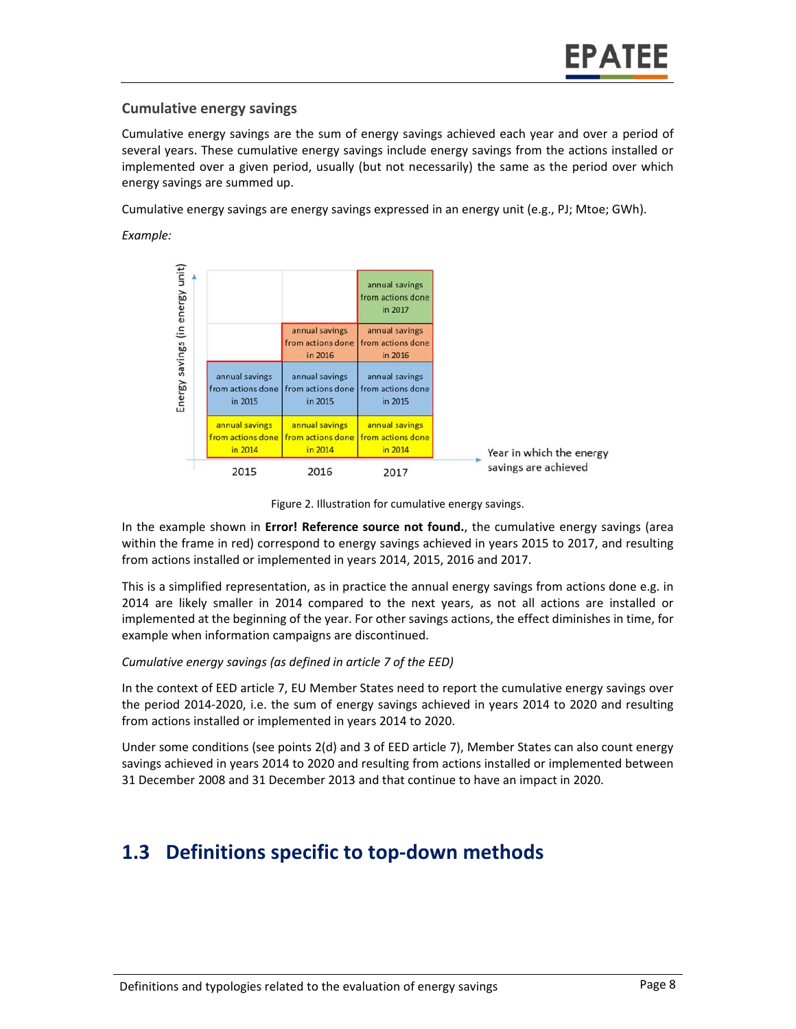#### **Cumulative energy savings**

Cumulative energy savings are the sum of energy savings achieved each year and over a period of several years. These cumulative energy savings include energy savings from the actions installed or implemented over a given period, usually (but not necessarily) the same as the period over which energy savings are summed up.

Cumulative energy savings are energy savings expressed in an energy unit (e.g., PJ; Mtoe; GWh).

*Example:* 





In the example shown in **Error! Reference source not found.**, the cumulative energy savings (area within the frame in red) correspond to energy savings achieved in years 2015 to 2017, and resulting from actions installed or implemented in years 2014, 2015, 2016 and 2017.

This is a simplified representation, as in practice the annual energy savings from actions done e.g. in 2014 are likely smaller in 2014 compared to the next years, as not all actions are installed or implemented at the beginning of the year. For other savings actions, the effect diminishes in time, for example when information campaigns are discontinued.

#### *Cumulative energy savings (as defined in article 7 of the EED)*

In the context of EED article 7, EU Member States need to report the cumulative energy savings over the period 2014‐2020, i.e. the sum of energy savings achieved in years 2014 to 2020 and resulting from actions installed or implemented in years 2014 to 2020.

Under some conditions (see points 2(d) and 3 of EED article 7), Member States can also count energy savings achieved in years 2014 to 2020 and resulting from actions installed or implemented between 31 December 2008 and 31 December 2013 and that continue to have an impact in 2020.

## **1.3 Definitions specific to top‐down methods**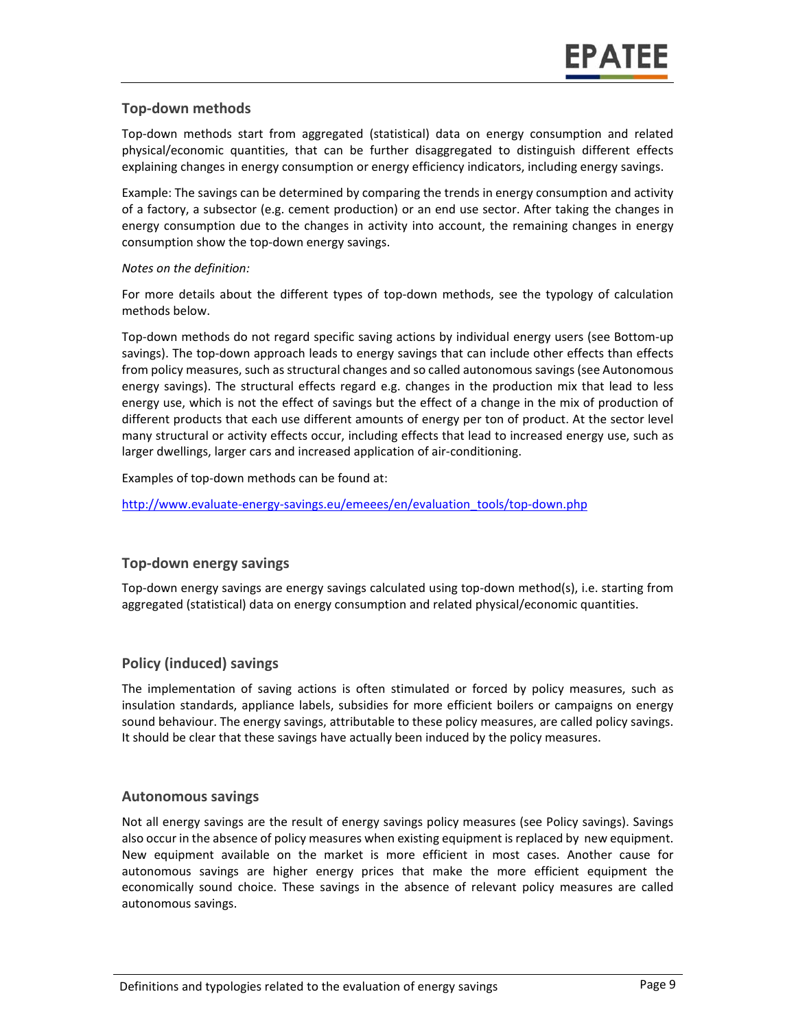#### **Top‐down methods**

Top‐down methods start from aggregated (statistical) data on energy consumption and related physical/economic quantities, that can be further disaggregated to distinguish different effects explaining changes in energy consumption or energy efficiency indicators, including energy savings.

Example: The savings can be determined by comparing the trends in energy consumption and activity of a factory, a subsector (e.g. cement production) or an end use sector. After taking the changes in energy consumption due to the changes in activity into account, the remaining changes in energy consumption show the top‐down energy savings.

#### *Notes on the definition:*

For more details about the different types of top-down methods, see the typology of calculation methods below.

Top‐down methods do not regard specific saving actions by individual energy users (see Bottom‐up savings). The top-down approach leads to energy savings that can include other effects than effects from policy measures, such as structural changes and so called autonomous savings (see Autonomous energy savings). The structural effects regard e.g. changes in the production mix that lead to less energy use, which is not the effect of savings but the effect of a change in the mix of production of different products that each use different amounts of energy per ton of product. At the sector level many structural or activity effects occur, including effects that lead to increased energy use, such as larger dwellings, larger cars and increased application of air‐conditioning.

Examples of top-down methods can be found at:

http://www.evaluate-energy-savings.eu/emeees/en/evaluation\_tools/top-down.php

#### **Top‐down energy savings**

Top‐down energy savings are energy savings calculated using top‐down method(s), i.e. starting from aggregated (statistical) data on energy consumption and related physical/economic quantities.

#### **Policy (induced) savings**

The implementation of saving actions is often stimulated or forced by policy measures, such as insulation standards, appliance labels, subsidies for more efficient boilers or campaigns on energy sound behaviour. The energy savings, attributable to these policy measures, are called policy savings. It should be clear that these savings have actually been induced by the policy measures.

#### **Autonomous savings**

Not all energy savings are the result of energy savings policy measures (see Policy savings). Savings also occur in the absence of policy measures when existing equipment is replaced by new equipment. New equipment available on the market is more efficient in most cases. Another cause for autonomous savings are higher energy prices that make the more efficient equipment the economically sound choice. These savings in the absence of relevant policy measures are called autonomous savings.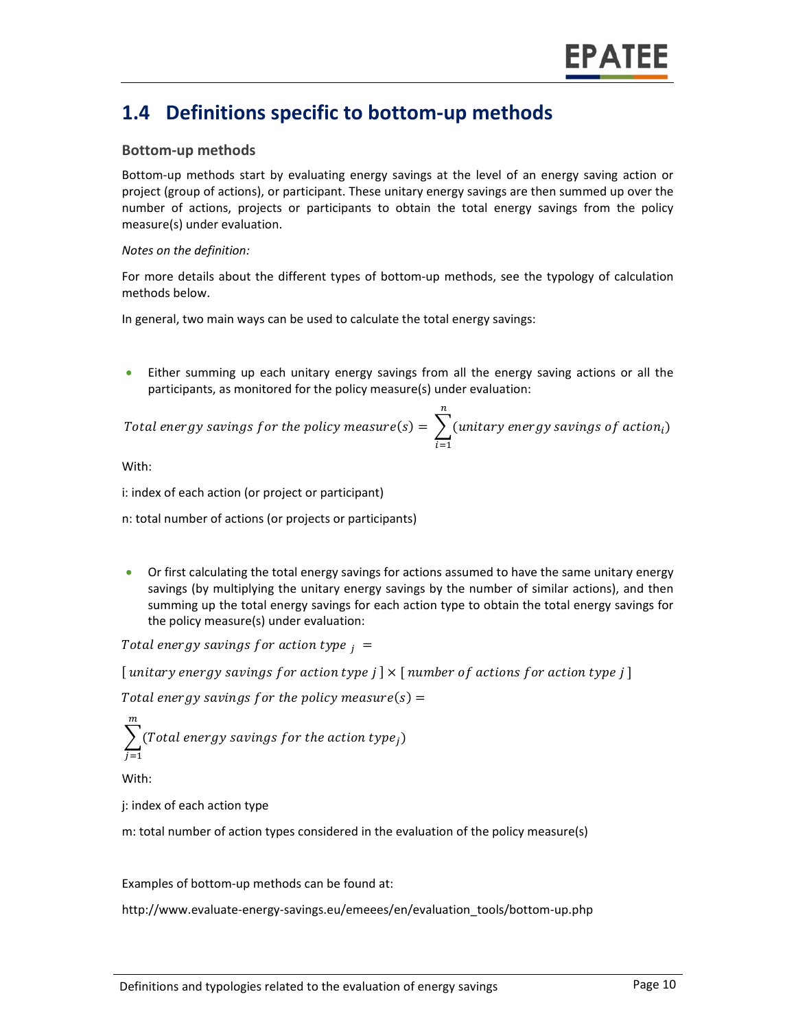### **1.4 Definitions specific to bottom‐up methods**

#### **Bottom‐up methods**

Bottom-up methods start by evaluating energy savings at the level of an energy saving action or project (group of actions), or participant. These unitary energy savings are then summed up over the number of actions, projects or participants to obtain the total energy savings from the policy measure(s) under evaluation.

#### *Notes on the definition:*

For more details about the different types of bottom-up methods, see the typology of calculation methods below.

In general, two main ways can be used to calculate the total energy savings:

Either summing up each unitary energy savings from all the energy saving actions or all the participants, as monitored for the policy measure(s) under evaluation:

Total energy savings for the policy measure(s) = 
$$
\sum_{i=1}^{n}
$$
(unitary energy savings of action<sub>i</sub>)

With:

i: index of each action (or project or participant)

n: total number of actions (or projects or participants)

 Or first calculating the total energy savings for actions assumed to have the same unitary energy savings (by multiplying the unitary energy savings by the number of similar actions), and then summing up the total energy savings for each action type to obtain the total energy savings for the policy measure(s) under evaluation:

Total energy savings for action type  $_i =$ 

[ unitary energy savings for action type  $j \mid \times$  [ number of actions for action type  $j \mid$ 

Total energy savings for the policy measure(s)  $=$ 

 $\sum$ (Total energy savings for the action type $_j)$  $\boldsymbol{m}$  $j=1$ 

With:

j: index of each action type

m: total number of action types considered in the evaluation of the policy measure(s)

Examples of bottom‐up methods can be found at:

http://www.evaluate‐energy‐savings.eu/emeees/en/evaluation\_tools/bottom‐up.php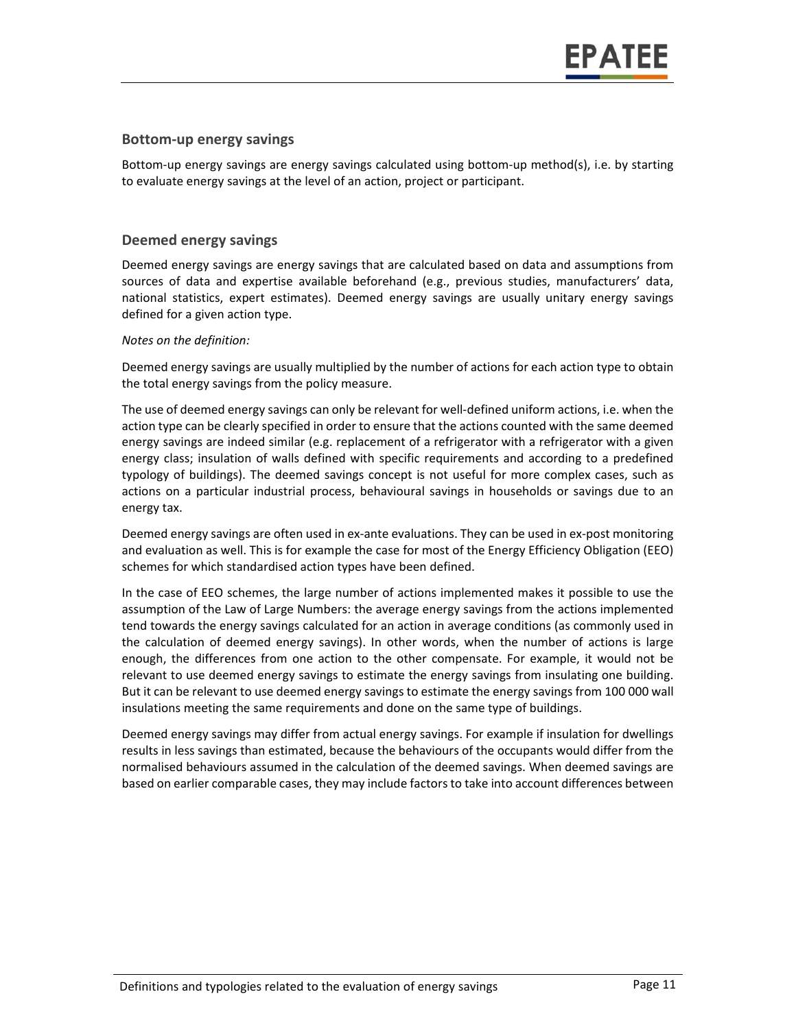#### **Bottom‐up energy savings**

Bottom-up energy savings are energy savings calculated using bottom-up method(s), i.e. by starting to evaluate energy savings at the level of an action, project or participant.

#### **Deemed energy savings**

Deemed energy savings are energy savings that are calculated based on data and assumptions from sources of data and expertise available beforehand (e.g., previous studies, manufacturers' data, national statistics, expert estimates). Deemed energy savings are usually unitary energy savings defined for a given action type.

#### *Notes on the definition:*

Deemed energy savings are usually multiplied by the number of actions for each action type to obtain the total energy savings from the policy measure.

The use of deemed energy savings can only be relevant for well‐defined uniform actions, i.e. when the action type can be clearly specified in order to ensure that the actions counted with the same deemed energy savings are indeed similar (e.g. replacement of a refrigerator with a refrigerator with a given energy class; insulation of walls defined with specific requirements and according to a predefined typology of buildings). The deemed savings concept is not useful for more complex cases, such as actions on a particular industrial process, behavioural savings in households or savings due to an energy tax.

Deemed energy savings are often used in ex-ante evaluations. They can be used in ex-post monitoring and evaluation as well. This is for example the case for most of the Energy Efficiency Obligation (EEO) schemes for which standardised action types have been defined.

In the case of EEO schemes, the large number of actions implemented makes it possible to use the assumption of the Law of Large Numbers: the average energy savings from the actions implemented tend towards the energy savings calculated for an action in average conditions (as commonly used in the calculation of deemed energy savings). In other words, when the number of actions is large enough, the differences from one action to the other compensate. For example, it would not be relevant to use deemed energy savings to estimate the energy savings from insulating one building. But it can be relevant to use deemed energy savings to estimate the energy savings from 100 000 wall insulations meeting the same requirements and done on the same type of buildings.

Deemed energy savings may differ from actual energy savings. For example if insulation for dwellings results in less savings than estimated, because the behaviours of the occupants would differ from the normalised behaviours assumed in the calculation of the deemed savings. When deemed savings are based on earlier comparable cases, they may include factors to take into account differences between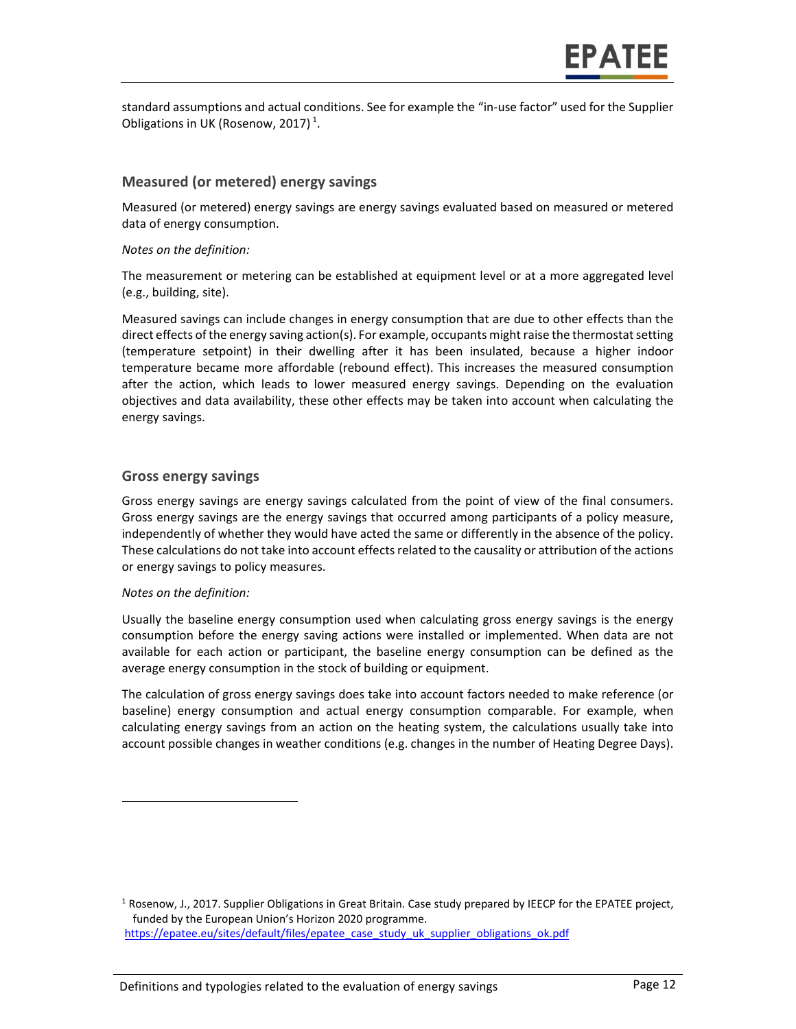standard assumptions and actual conditions. See for example the "in‐use factor" used for the Supplier Obligations in UK (Rosenow, 2017)<sup>1</sup>.

#### **Measured (or metered) energy savings**

Measured (or metered) energy savings are energy savings evaluated based on measured or metered data of energy consumption.

#### *Notes on the definition:*

The measurement or metering can be established at equipment level or at a more aggregated level (e.g., building, site).

Measured savings can include changes in energy consumption that are due to other effects than the direct effects of the energy saving action(s). For example, occupants might raise the thermostat setting (temperature setpoint) in their dwelling after it has been insulated, because a higher indoor temperature became more affordable (rebound effect). This increases the measured consumption after the action, which leads to lower measured energy savings. Depending on the evaluation objectives and data availability, these other effects may be taken into account when calculating the energy savings.

#### **Gross energy savings**

Gross energy savings are energy savings calculated from the point of view of the final consumers. Gross energy savings are the energy savings that occurred among participants of a policy measure, independently of whether they would have acted the same or differently in the absence of the policy. These calculations do not take into account effects related to the causality or attribution of the actions or energy savings to policy measures.

#### *Notes on the definition:*

Usually the baseline energy consumption used when calculating gross energy savings is the energy consumption before the energy saving actions were installed or implemented. When data are not available for each action or participant, the baseline energy consumption can be defined as the average energy consumption in the stock of building or equipment.

The calculation of gross energy savings does take into account factors needed to make reference (or baseline) energy consumption and actual energy consumption comparable. For example, when calculating energy savings from an action on the heating system, the calculations usually take into account possible changes in weather conditions (e.g. changes in the number of Heating Degree Days).

<sup>&</sup>lt;sup>1</sup> Rosenow, J., 2017. Supplier Obligations in Great Britain. Case study prepared by IEECP for the EPATEE project, funded by the European Union's Horizon 2020 programme. https://epatee.eu/sites/default/files/epatee\_case\_study\_uk\_supplier\_obligations\_ok.pdf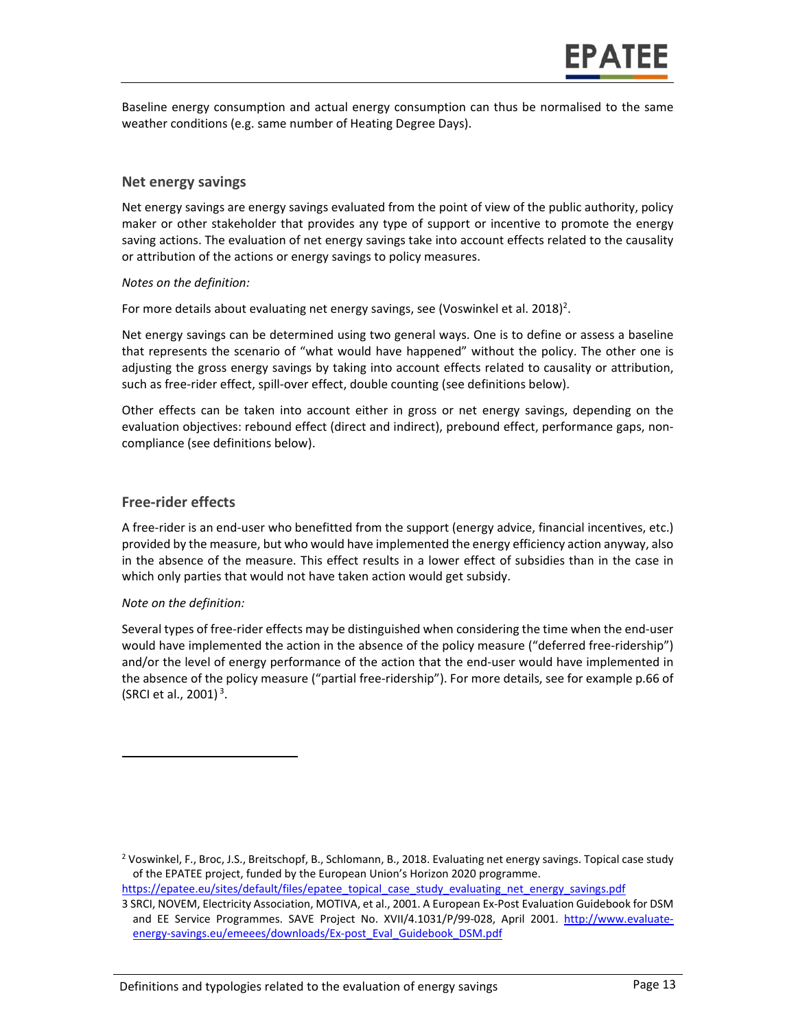Baseline energy consumption and actual energy consumption can thus be normalised to the same weather conditions (e.g. same number of Heating Degree Days).

#### **Net energy savings**

Net energy savings are energy savings evaluated from the point of view of the public authority, policy maker or other stakeholder that provides any type of support or incentive to promote the energy saving actions. The evaluation of net energy savings take into account effects related to the causality or attribution of the actions or energy savings to policy measures.

#### *Notes on the definition:*

For more details about evaluating net energy savings, see (Voswinkel et al. 2018)<sup>2</sup>.

Net energy savings can be determined using two general ways. One is to define or assess a baseline that represents the scenario of "what would have happened" without the policy. The other one is adjusting the gross energy savings by taking into account effects related to causality or attribution, such as free-rider effect, spill-over effect, double counting (see definitions below).

Other effects can be taken into account either in gross or net energy savings, depending on the evaluation objectives: rebound effect (direct and indirect), prebound effect, performance gaps, non‐ compliance (see definitions below).

#### **Free‐rider effects**

A free‐rider is an end‐user who benefitted from the support (energy advice, financial incentives, etc.) provided by the measure, but who would have implemented the energy efficiency action anyway, also in the absence of the measure. This effect results in a lower effect of subsidies than in the case in which only parties that would not have taken action would get subsidy.

#### *Note on the definition:*

Several types of free-rider effects may be distinguished when considering the time when the end-user would have implemented the action in the absence of the policy measure ("deferred free-ridership") and/or the level of energy performance of the action that the end‐user would have implemented in the absence of the policy measure ("partial free-ridership"). For more details, see for example p.66 of (SRCI et al., 2001) $^3$ .

<sup>&</sup>lt;sup>2</sup> Voswinkel, F., Broc, J.S., Breitschopf, B., Schlomann, B., 2018. Evaluating net energy savings. Topical case study of the EPATEE project, funded by the European Union's Horizon 2020 programme.

https://epatee.eu/sites/default/files/epatee\_topical\_case\_study\_evaluating\_net\_energy\_savings.pdf

<sup>3</sup> SRCI, NOVEM, Electricity Association, MOTIVA, et al., 2001. A European Ex‐Post Evaluation Guidebook for DSM and EE Service Programmes. SAVE Project No. XVII/4.1031/P/99-028, April 2001. http://www.evaluateenergy‐savings.eu/emeees/downloads/Ex‐post\_Eval\_Guidebook\_DSM.pdf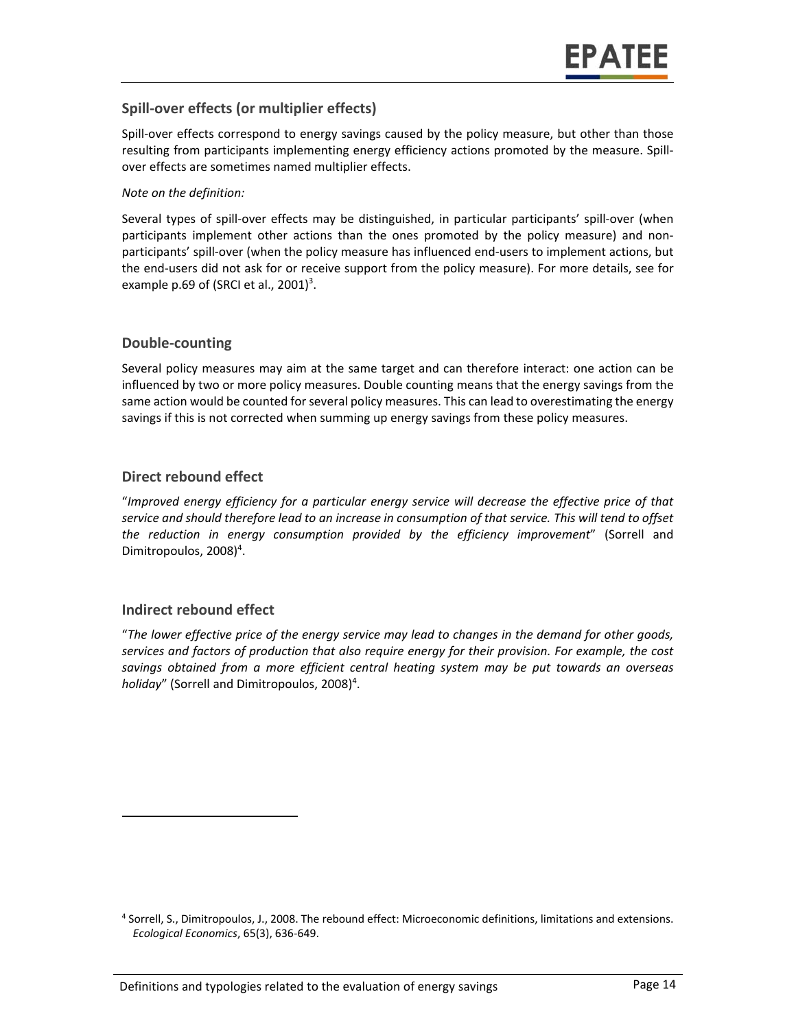#### **Spill‐over effects (or multiplier effects)**

Spill-over effects correspond to energy savings caused by the policy measure, but other than those resulting from participants implementing energy efficiency actions promoted by the measure. Spill‐ over effects are sometimes named multiplier effects.

#### *Note on the definition:*

Several types of spill‐over effects may be distinguished, in particular participants' spill‐over (when participants implement other actions than the ones promoted by the policy measure) and nonparticipants' spill-over (when the policy measure has influenced end-users to implement actions, but the end‐users did not ask for or receive support from the policy measure). For more details, see for example p.69 of (SRCI et al., 2001)<sup>3</sup>.

#### **Double‐counting**

Several policy measures may aim at the same target and can therefore interact: one action can be influenced by two or more policy measures. Double counting means that the energy savings from the same action would be counted for several policy measures. This can lead to overestimating the energy savings if this is not corrected when summing up energy savings from these policy measures.

#### **Direct rebound effect**

"*Improved energy efficiency for a particular energy service will decrease the effective price of that service and should therefore lead to an increase in consumption of that service. This will tend to offset the reduction in energy consumption provided by the efficiency improvement*" (Sorrell and Dimitropoulos, 2008)<sup>4</sup>.

#### **Indirect rebound effect**

"*The lower effective price of the energy service may lead to changes in the demand for other goods, services and factors of production that also require energy for their provision. For example, the cost savings obtained from a more efficient central heating system may be put towards an overseas*  holiday" (Sorrell and Dimitropoulos, 2008)<sup>4</sup>.

<sup>4</sup> Sorrell, S., Dimitropoulos, J., 2008. The rebound effect: Microeconomic definitions, limitations and extensions. *Ecological Economics*, 65(3), 636‐649.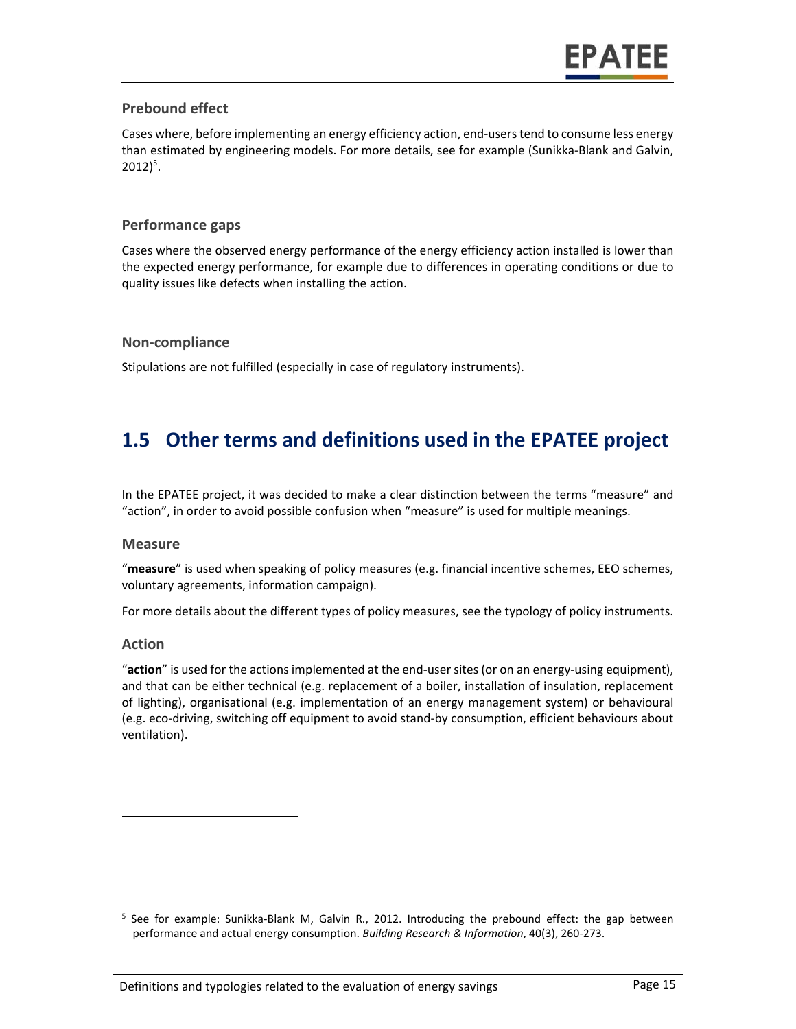#### **Prebound effect**

Cases where, before implementing an energy efficiency action, end‐users tend to consume less energy than estimated by engineering models. For more details, see for example (Sunikka‐Blank and Galvin,  $2012)^5$ .

#### **Performance gaps**

Cases where the observed energy performance of the energy efficiency action installed is lower than the expected energy performance, for example due to differences in operating conditions or due to quality issues like defects when installing the action.

#### **Non‐compliance**

Stipulations are not fulfilled (especially in case of regulatory instruments).

### **1.5 Other terms and definitions used in the EPATEE project**

In the EPATEE project, it was decided to make a clear distinction between the terms "measure" and "action", in order to avoid possible confusion when "measure" is used for multiple meanings.

#### **Measure**

"**measure**" is used when speaking of policy measures (e.g. financial incentive schemes, EEO schemes, voluntary agreements, information campaign).

For more details about the different types of policy measures, see the typology of policy instruments.

#### **Action**

"**action**" is used for the actions implemented at the end‐user sites (or on an energy‐using equipment), and that can be either technical (e.g. replacement of a boiler, installation of insulation, replacement of lighting), organisational (e.g. implementation of an energy management system) or behavioural (e.g. eco‐driving, switching off equipment to avoid stand‐by consumption, efficient behaviours about ventilation).

<sup>&</sup>lt;sup>5</sup> See for example: Sunikka-Blank M, Galvin R., 2012. Introducing the prebound effect: the gap between performance and actual energy consumption. *Building Research & Information*, 40(3), 260‐273.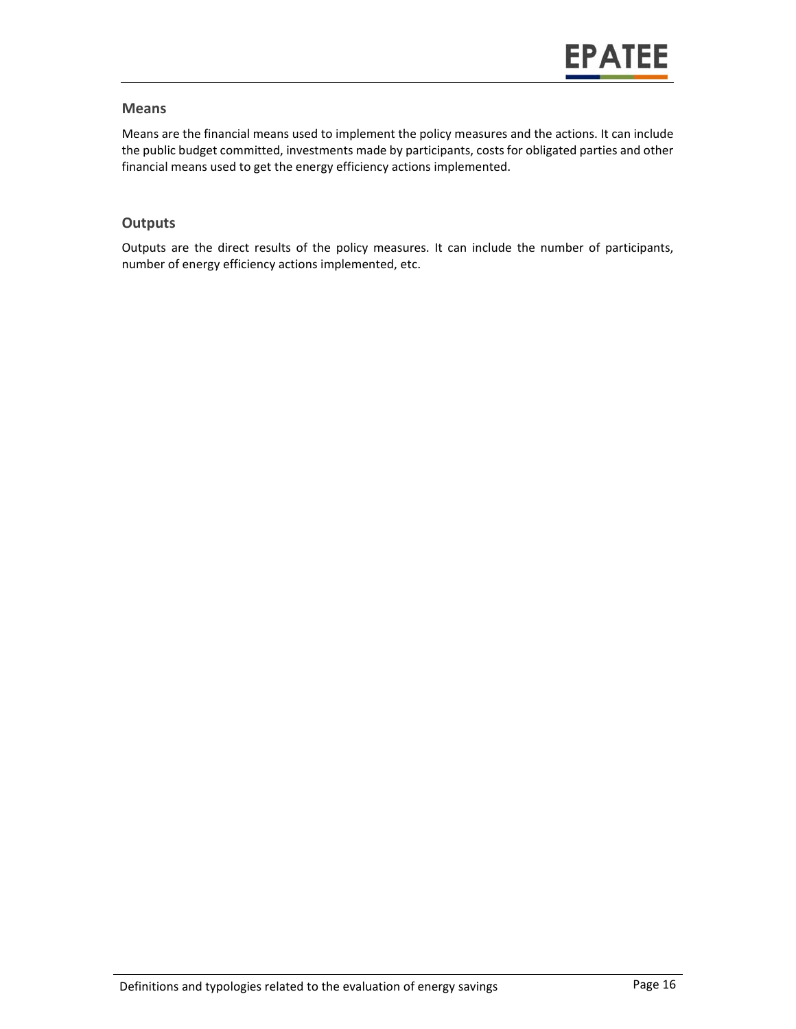#### **Means**

Means are the financial means used to implement the policy measures and the actions. It can include the public budget committed, investments made by participants, costs for obligated parties and other financial means used to get the energy efficiency actions implemented.

#### **Outputs**

Outputs are the direct results of the policy measures. It can include the number of participants, number of energy efficiency actions implemented, etc.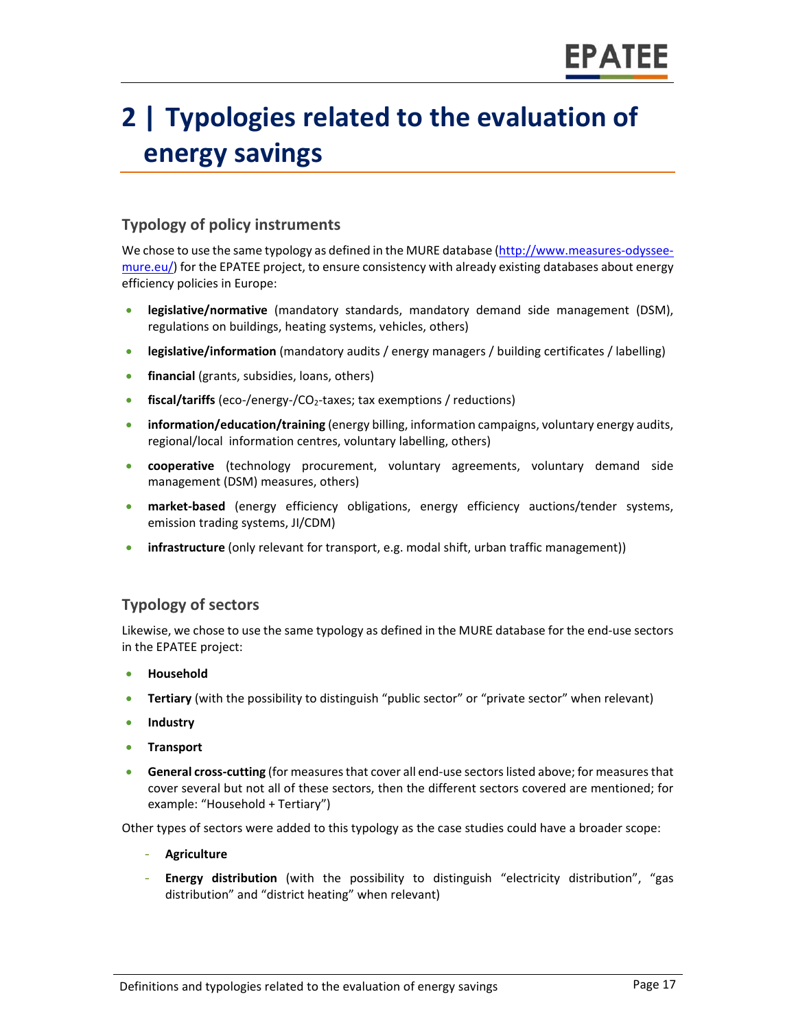## **2 | Typologies related to the evaluation of energy savings**

#### **Typology of policy instruments**

We chose to use the same typology as defined in the MURE database (http://www.measures-odysseemure.eu/) for the EPATEE project, to ensure consistency with already existing databases about energy efficiency policies in Europe:

- **e** legislative/normative (mandatory standards, mandatory demand side management (DSM), regulations on buildings, heating systems, vehicles, others)
- **legislative/information** (mandatory audits / energy managers / building certificates / labelling)
- **financial** (grants, subsidies, loans, others)
- **fiscal/tariffs** (eco-/energy-/CO<sub>2</sub>-taxes; tax exemptions / reductions)
- **information/education/training** (energy billing, information campaigns, voluntary energy audits, regional/local information centres, voluntary labelling, others)
- **cooperative** (technology procurement, voluntary agreements, voluntary demand side management (DSM) measures, others)
- **•** market-based (energy efficiency obligations, energy efficiency auctions/tender systems, emission trading systems, JI/CDM)
- **infrastructure** (only relevant for transport, e.g. modal shift, urban traffic management))

#### **Typology of sectors**

Likewise, we chose to use the same typology as defined in the MURE database for the end‐use sectors in the EPATEE project:

- **Household**
- **Tertiary** (with the possibility to distinguish "public sector" or "private sector" when relevant)
- **•** Industry
- **Transport**
- **General cross‐cutting** (for measures that cover all end‐use sectors listed above; for measures that cover several but not all of these sectors, then the different sectors covered are mentioned; for example: "Household + Tertiary")

Other types of sectors were added to this typology as the case studies could have a broader scope:

- **Agriculture**
- **Energy distribution** (with the possibility to distinguish "electricity distribution", "gas distribution" and "district heating" when relevant)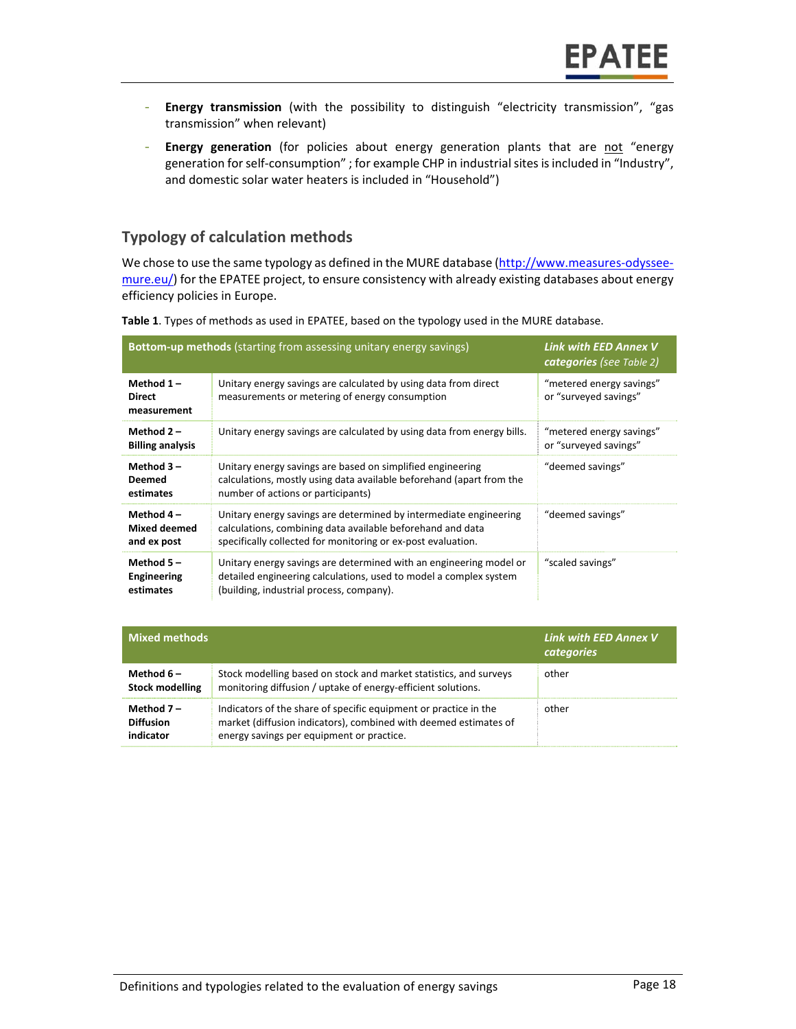- **Energy transmission** (with the possibility to distinguish "electricity transmission", "gas transmission" when relevant)
- **Energy generation** (for policies about energy generation plants that are not "energy generation for self‐consumption" ; for example CHP in industrial sites is included in "Industry", and domestic solar water heaters is included in "Household")

#### **Typology of calculation methods**

We chose to use the same typology as defined in the MURE database (http://www.measures-odysseemure.eu/) for the EPATEE project, to ensure consistency with already existing databases about energy efficiency policies in Europe.

| <b>Bottom-up methods</b> (starting from assessing unitary energy savings) | Link with EED Annex V<br><b>categories</b> (see Table 2)                                                                                                                                        |                                                   |
|---------------------------------------------------------------------------|-------------------------------------------------------------------------------------------------------------------------------------------------------------------------------------------------|---------------------------------------------------|
| Method $1-$<br><b>Direct</b><br>measurement                               | Unitary energy savings are calculated by using data from direct<br>measurements or metering of energy consumption                                                                               | "metered energy savings"<br>or "surveyed savings" |
| Method $2-$<br><b>Billing analysis</b>                                    | Unitary energy savings are calculated by using data from energy bills.                                                                                                                          | "metered energy savings"<br>or "surveyed savings" |
| Method $3-$<br>Deemed<br>estimates                                        | Unitary energy savings are based on simplified engineering<br>calculations, mostly using data available beforehand (apart from the<br>number of actions or participants)                        | "deemed savings"                                  |
| Method $4-$<br><b>Mixed deemed</b><br>and ex post                         | Unitary energy savings are determined by intermediate engineering<br>calculations, combining data available beforehand and data<br>specifically collected for monitoring or ex-post evaluation. | "deemed savings"                                  |
| Method $5-$<br>Engineering<br>estimates                                   | Unitary energy savings are determined with an engineering model or<br>detailed engineering calculations, used to model a complex system<br>(building, industrial process, company).             | "scaled savings"                                  |

**Table 1**. Types of methods as used in EPATEE, based on the typology used in the MURE database.

| $\blacksquare$ Mixed methods                 |                                                                                                                                                                                   | Link with EED Annex V<br><b>categories</b> |
|----------------------------------------------|-----------------------------------------------------------------------------------------------------------------------------------------------------------------------------------|--------------------------------------------|
| Method $6-$<br><b>Stock modelling</b>        | Stock modelling based on stock and market statistics, and surveys<br>monitoring diffusion / uptake of energy-efficient solutions.                                                 | other                                      |
| Method $7-$<br><b>Diffusion</b><br>indicator | Indicators of the share of specific equipment or practice in the<br>market (diffusion indicators), combined with deemed estimates of<br>energy savings per equipment or practice. | other                                      |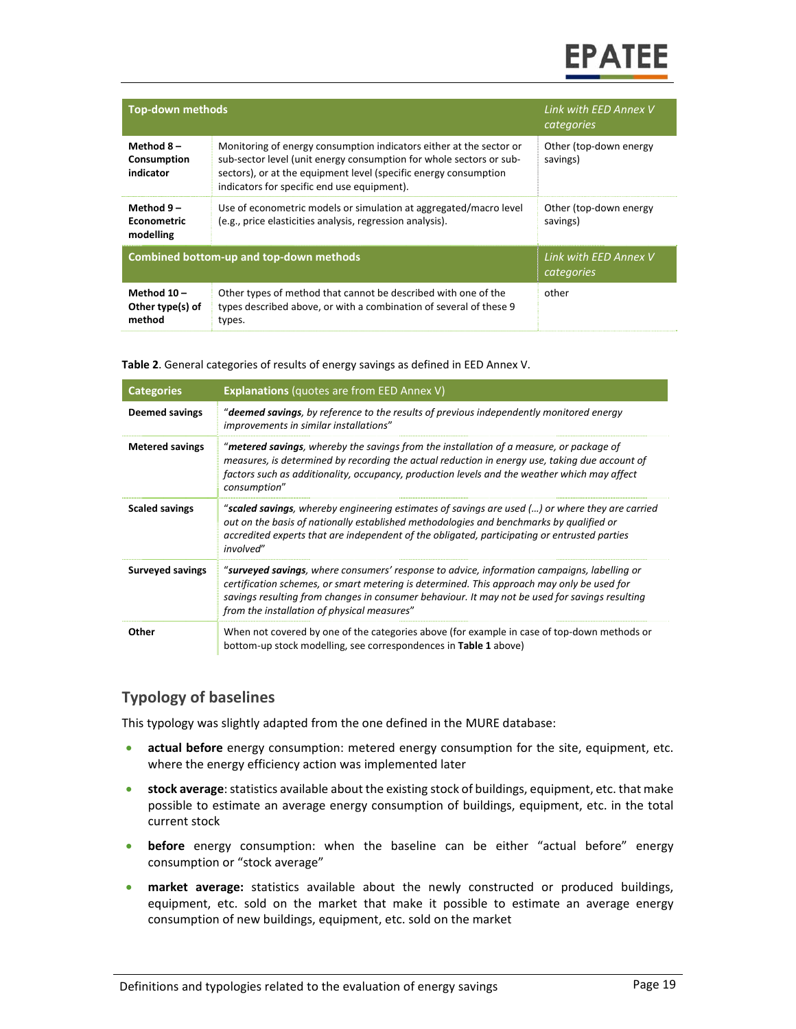## **EPATEE**

| <b>Top-down methods</b>                        | Link with EED Annex V<br>categories                                                                                                                                                                                                                           |                                    |
|------------------------------------------------|---------------------------------------------------------------------------------------------------------------------------------------------------------------------------------------------------------------------------------------------------------------|------------------------------------|
| Method $8-$<br>Consumption<br>indicator        | Monitoring of energy consumption indicators either at the sector or<br>sub-sector level (unit energy consumption for whole sectors or sub-<br>sectors), or at the equipment level (specific energy consumption<br>indicators for specific end use equipment). | Other (top-down energy<br>savings) |
| Method $9-$<br><b>Econometric</b><br>modelling | Use of econometric models or simulation at aggregated/macro level<br>(e.g., price elasticities analysis, regression analysis).                                                                                                                                | Other (top-down energy<br>savings) |
| <b>Combined bottom-up and top-down methods</b> | Link with EED Annex V<br>categories                                                                                                                                                                                                                           |                                    |
| Method $10 -$<br>Other type(s) of<br>method    | Other types of method that cannot be described with one of the<br>types described above, or with a combination of several of these 9<br>types.                                                                                                                | other                              |

**Table 2**. General categories of results of energy savings as defined in EED Annex V.

| <b>Categories</b>       | <b>Explanations</b> (quotes are from EED Annex V)                                                                                                                                                                                                                                                                                          |
|-------------------------|--------------------------------------------------------------------------------------------------------------------------------------------------------------------------------------------------------------------------------------------------------------------------------------------------------------------------------------------|
| <b>Deemed savings</b>   | " <b>deemed savings</b> , by reference to the results of previous independently monitored energy<br>improvements in similar installations"                                                                                                                                                                                                 |
| <b>Metered savings</b>  | "metered savings, whereby the savings from the installation of a measure, or package of<br>measures, is determined by recording the actual reduction in energy use, taking due account of<br>factors such as additionality, occupancy, production levels and the weather which may affect<br>consumption"                                  |
| <b>Scaled savings</b>   | "scaled savings, whereby engineering estimates of savings are used () or where they are carried<br>out on the basis of nationally established methodologies and benchmarks by qualified or<br>accredited experts that are independent of the obligated, participating or entrusted parties<br>involved"                                    |
| <b>Surveyed savings</b> | "surveyed savings, where consumers' response to advice, information campaigns, labelling or<br>certification schemes, or smart metering is determined. This approach may only be used for<br>savings resulting from changes in consumer behaviour. It may not be used for savings resulting<br>from the installation of physical measures" |
| Other                   | When not covered by one of the categories above (for example in case of top-down methods or<br>bottom-up stock modelling, see correspondences in Table 1 above)                                                                                                                                                                            |

#### **Typology of baselines**

This typology was slightly adapted from the one defined in the MURE database:

- **actual before** energy consumption: metered energy consumption for the site, equipment, etc. where the energy efficiency action was implemented later
- **stock average**: statistics available about the existing stock of buildings, equipment, etc. that make possible to estimate an average energy consumption of buildings, equipment, etc. in the total current stock
- **before** energy consumption: when the baseline can be either "actual before" energy consumption or "stock average"
- **•** market average: statistics available about the newly constructed or produced buildings, equipment, etc. sold on the market that make it possible to estimate an average energy consumption of new buildings, equipment, etc. sold on the market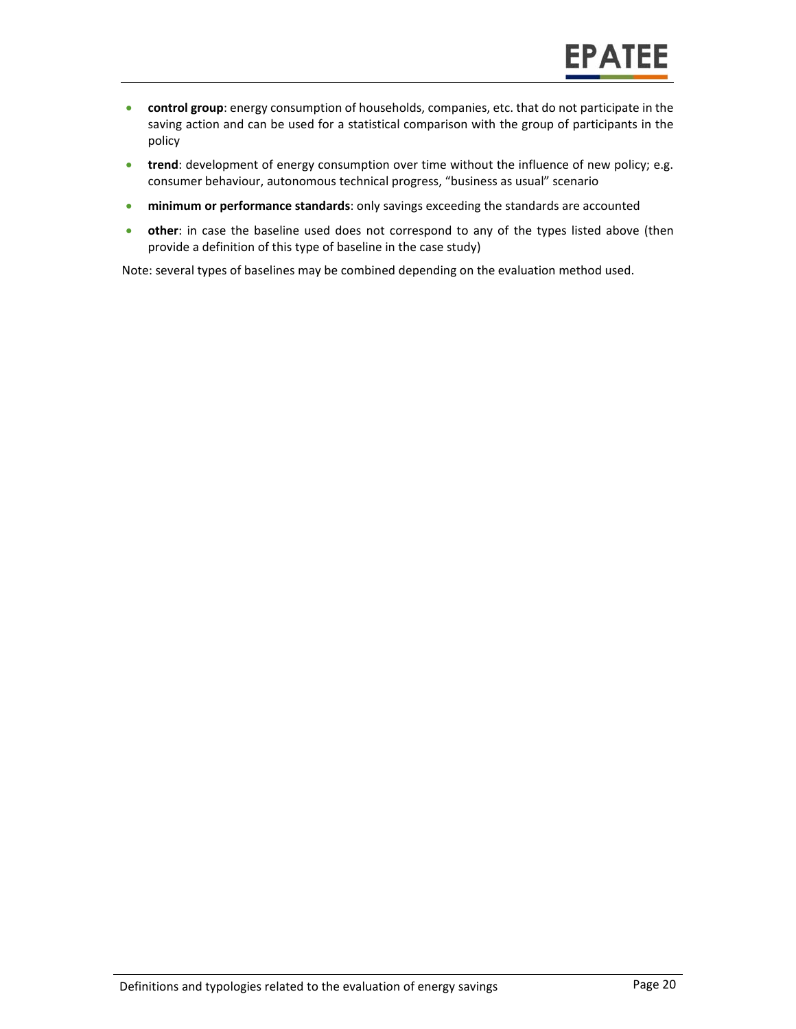- **control group**: energy consumption of households, companies, etc. that do not participate in the saving action and can be used for a statistical comparison with the group of participants in the policy
- **trend**: development of energy consumption over time without the influence of new policy; e.g. consumer behaviour, autonomous technical progress, "business as usual" scenario
- **minimum or performance standards**: only savings exceeding the standards are accounted
- **other:** in case the baseline used does not correspond to any of the types listed above (then provide a definition of this type of baseline in the case study)

Note: several types of baselines may be combined depending on the evaluation method used.